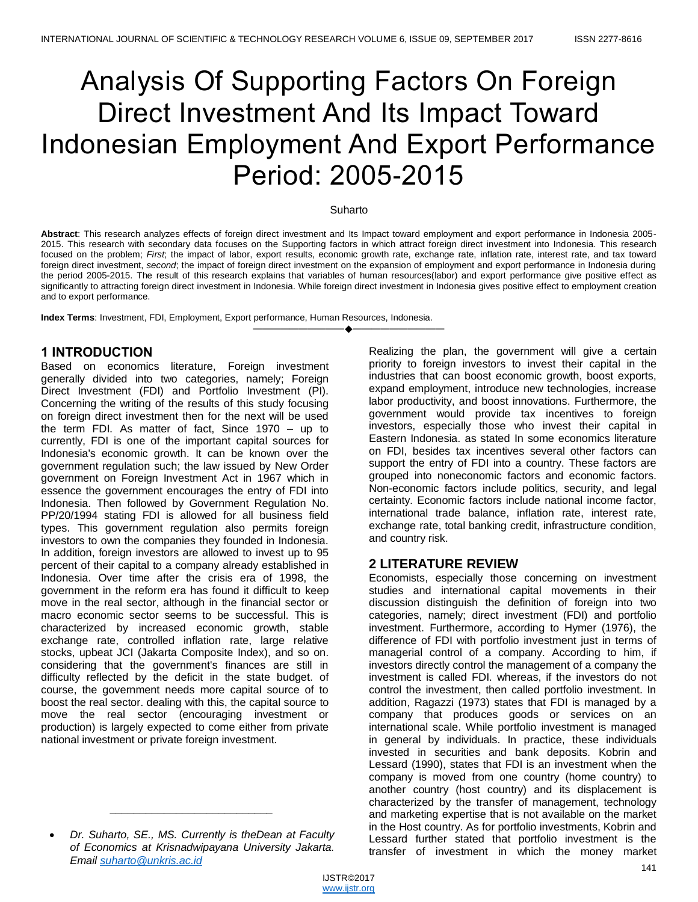# Analysis Of Supporting Factors On Foreign Direct Investment And Its Impact Toward Indonesian Employment And Export Performance Period: 2005-2015

#### Suharto

**Abstract**: This research analyzes effects of foreign direct investment and Its Impact toward employment and export performance in Indonesia 2005- 2015. This research with secondary data focuses on the Supporting factors in which attract foreign direct investment into Indonesia. This research focused on the problem; *First*; the impact of labor, export results, economic growth rate, exchange rate, inflation rate, interest rate, and tax toward foreign direct investment, *second*; the impact of foreign direct investment on the expansion of employment and export performance in Indonesia during the period 2005-2015. The result of this research explains that variables of human resources(labor) and export performance give positive effect as significantly to attracting foreign direct investment in Indonesia. While foreign direct investment in Indonesia gives positive effect to employment creation and to export performance.

————————————————————

**Index Terms**: Investment, FDI, Employment, Export performance, Human Resources, Indonesia.

# **1 INTRODUCTION**

Based on economics literature, Foreign investment generally divided into two categories, namely; Foreign Direct Investment (FDI) and Portfolio Investment (PI). Concerning the writing of the results of this study focusing on foreign direct investment then for the next will be used the term FDI. As matter of fact, Since 1970 – up to currently, FDI is one of the important capital sources for Indonesia's economic growth. It can be known over the government regulation such; the law issued by New Order government on Foreign Investment Act in 1967 which in essence the government encourages the entry of FDI into Indonesia. Then followed by Government Regulation No. PP/20/1994 stating FDI is allowed for all business field types. This government regulation also permits foreign investors to own the companies they founded in Indonesia. In addition, foreign investors are allowed to invest up to 95 percent of their capital to a company already established in Indonesia. Over time after the crisis era of 1998, the government in the reform era has found it difficult to keep move in the real sector, although in the financial sector or macro economic sector seems to be successful. This is characterized by increased economic growth, stable exchange rate, controlled inflation rate, large relative stocks, upbeat JCI (Jakarta Composite Index), and so on. considering that the government's finances are still in difficulty reflected by the deficit in the state budget. of course, the government needs more capital source of to boost the real sector. dealing with this, the capital source to move the real sector (encouraging investment or production) is largely expected to come either from private national investment or private foreign investment.

*\_\_\_\_\_\_\_\_\_\_\_\_\_\_\_\_\_\_\_\_\_\_\_\_\_\_\_*

Realizing the plan, the government will give a certain priority to foreign investors to invest their capital in the industries that can boost economic growth, boost exports, expand employment, introduce new technologies, increase labor productivity, and boost innovations. Furthermore, the government would provide tax incentives to foreign investors, especially those who invest their capital in Eastern Indonesia. as stated In some economics literature on FDI, besides tax incentives several other factors can support the entry of FDI into a country. These factors are grouped into noneconomic factors and economic factors. Non-economic factors include politics, security, and legal certainty. Economic factors include national income factor, international trade balance, inflation rate, interest rate, exchange rate, total banking credit, infrastructure condition, and country risk.

# **2 LITERATURE REVIEW**

Economists, especially those concerning on investment studies and international capital movements in their discussion distinguish the definition of foreign into two categories, namely; direct investment (FDI) and portfolio investment. Furthermore, according to Hymer (1976), the difference of FDI with portfolio investment just in terms of managerial control of a company. According to him, if investors directly control the management of a company the investment is called FDI. whereas, if the investors do not control the investment, then called portfolio investment. In addition, Ragazzi (1973) states that FDI is managed by a company that produces goods or services on an international scale. While portfolio investment is managed in general by individuals. In practice, these individuals invested in securities and bank deposits. Kobrin and Lessard (1990), states that FDI is an investment when the company is moved from one country (home country) to another country (host country) and its displacement is characterized by the transfer of management, technology and marketing expertise that is not available on the market in the Host country. As for portfolio investments, Kobrin and Lessard further stated that portfolio investment is the transfer of investment in which the money market

*Dr. Suharto, SE., MS. Currently is theDean at Faculty of Economics at Krisnadwipayana University Jakarta. Email suharto@unkris.ac.id*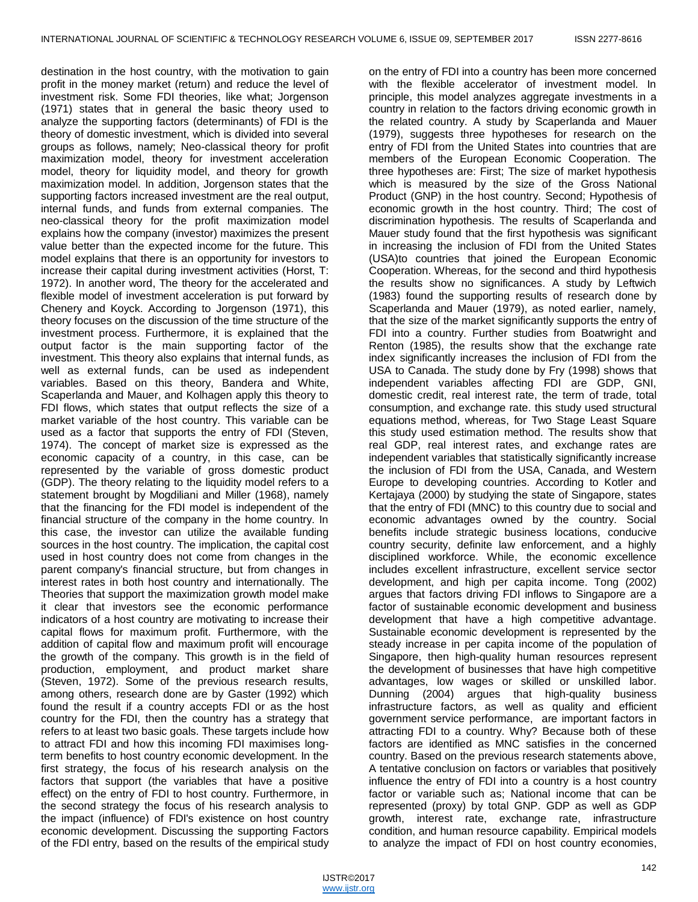destination in the host country, with the motivation to gain profit in the money market (return) and reduce the level of investment risk. Some FDI theories, like what; Jorgenson (1971) states that in general the basic theory used to analyze the supporting factors (determinants) of FDI is the theory of domestic investment, which is divided into several groups as follows, namely; Neo-classical theory for profit maximization model, theory for investment acceleration model, theory for liquidity model, and theory for growth maximization model. In addition, Jorgenson states that the supporting factors increased investment are the real output, internal funds, and funds from external companies. The neo-classical theory for the profit maximization model explains how the company (investor) maximizes the present value better than the expected income for the future. This model explains that there is an opportunity for investors to increase their capital during investment activities (Horst, T: 1972). In another word, The theory for the accelerated and flexible model of investment acceleration is put forward by Chenery and Koyck. According to Jorgenson (1971), this theory focuses on the discussion of the time structure of the investment process. Furthermore, it is explained that the output factor is the main supporting factor of the investment. This theory also explains that internal funds, as well as external funds, can be used as independent variables. Based on this theory, Bandera and White, Scaperlanda and Mauer, and Kolhagen apply this theory to FDI flows, which states that output reflects the size of a market variable of the host country. This variable can be used as a factor that supports the entry of FDI (Steven, 1974). The concept of market size is expressed as the economic capacity of a country, in this case, can be represented by the variable of gross domestic product (GDP). The theory relating to the liquidity model refers to a statement brought by Mogdiliani and Miller (1968), namely that the financing for the FDI model is independent of the financial structure of the company in the home country. In this case, the investor can utilize the available funding sources in the host country. The implication, the capital cost used in host country does not come from changes in the parent company's financial structure, but from changes in interest rates in both host country and internationally. The Theories that support the maximization growth model make it clear that investors see the economic performance indicators of a host country are motivating to increase their capital flows for maximum profit. Furthermore, with the addition of capital flow and maximum profit will encourage the growth of the company. This growth is in the field of production, employment, and product market share (Steven, 1972). Some of the previous research results, among others, research done are by Gaster (1992) which found the result if a country accepts FDI or as the host country for the FDI, then the country has a strategy that refers to at least two basic goals. These targets include how to attract FDI and how this incoming FDI maximises longterm benefits to host country economic development. In the first strategy, the focus of his research analysis on the factors that support (the variables that have a positive effect) on the entry of FDI to host country. Furthermore, in the second strategy the focus of his research analysis to the impact (influence) of FDI's existence on host country economic development. Discussing the supporting Factors of the FDI entry, based on the results of the empirical study

on the entry of FDI into a country has been more concerned with the flexible accelerator of investment model. In principle, this model analyzes aggregate investments in a country in relation to the factors driving economic growth in the related country. A study by Scaperlanda and Mauer (1979), suggests three hypotheses for research on the entry of FDI from the United States into countries that are members of the European Economic Cooperation. The three hypotheses are: First; The size of market hypothesis which is measured by the size of the Gross National Product (GNP) in the host country. Second; Hypothesis of economic growth in the host country. Third; The cost of discrimination hypothesis. The results of Scaperlanda and Mauer study found that the first hypothesis was significant in increasing the inclusion of FDI from the United States (USA)to countries that joined the European Economic Cooperation. Whereas, for the second and third hypothesis the results show no significances. A study by Leftwich (1983) found the supporting results of research done by Scaperlanda and Mauer (1979), as noted earlier, namely, that the size of the market significantly supports the entry of FDI into a country. Further studies from Boatwright and Renton (1985), the results show that the exchange rate index significantly increases the inclusion of FDI from the USA to Canada. The study done by Fry (1998) shows that independent variables affecting FDI are GDP, GNI, domestic credit, real interest rate, the term of trade, total consumption, and exchange rate. this study used structural equations method, whereas, for Two Stage Least Square this study used estimation method. The results show that real GDP, real interest rates, and exchange rates are independent variables that statistically significantly increase the inclusion of FDI from the USA, Canada, and Western Europe to developing countries. According to Kotler and Kertajaya (2000) by studying the state of Singapore, states that the entry of FDI (MNC) to this country due to social and economic advantages owned by the country. Social benefits include strategic business locations, conducive country security, definite law enforcement, and a highly disciplined workforce. While, the economic excellence includes excellent infrastructure, excellent service sector development, and high per capita income. Tong (2002) argues that factors driving FDI inflows to Singapore are a factor of sustainable economic development and business development that have a high competitive advantage. Sustainable economic development is represented by the steady increase in per capita income of the population of Singapore, then high-quality human resources represent the development of businesses that have high competitive advantages, low wages or skilled or unskilled labor. Dunning (2004) argues that high-quality business infrastructure factors, as well as quality and efficient government service performance, are important factors in attracting FDI to a country. Why? Because both of these factors are identified as MNC satisfies in the concerned country. Based on the previous research statements above, A tentative conclusion on factors or variables that positively influence the entry of FDI into a country is a host country factor or variable such as; National income that can be represented (proxy) by total GNP. GDP as well as GDP growth, interest rate, exchange rate, infrastructure condition, and human resource capability. Empirical models to analyze the impact of FDI on host country economies,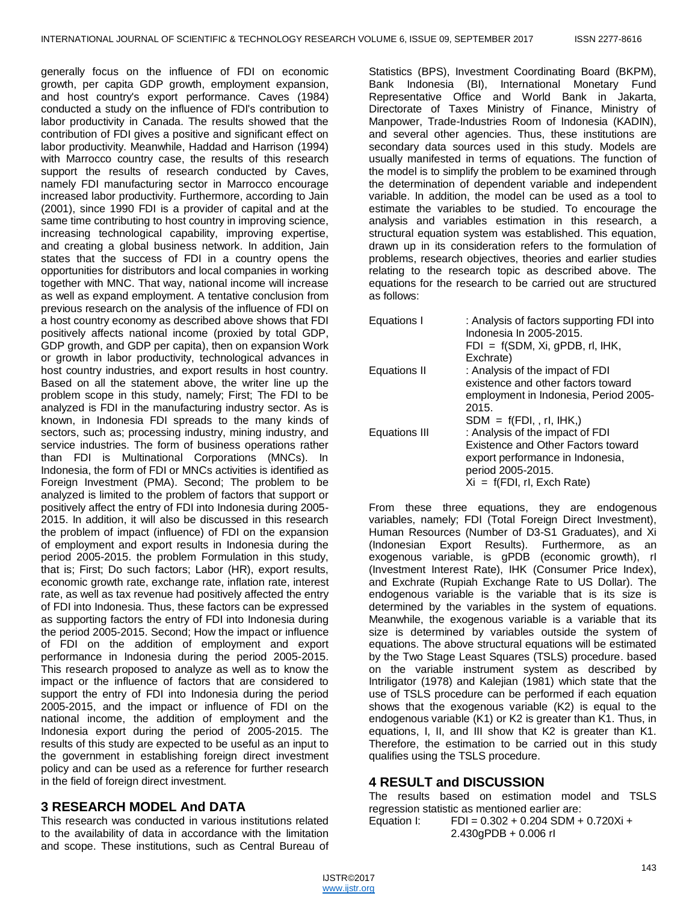generally focus on the influence of FDI on economic growth, per capita GDP growth, employment expansion, and host country's export performance. Caves (1984) conducted a study on the influence of FDI's contribution to labor productivity in Canada. The results showed that the contribution of FDI gives a positive and significant effect on labor productivity. Meanwhile, Haddad and Harrison (1994) with Marrocco country case, the results of this research support the results of research conducted by Caves, namely FDI manufacturing sector in Marrocco encourage increased labor productivity. Furthermore, according to Jain (2001), since 1990 FDI is a provider of capital and at the same time contributing to host country in improving science, increasing technological capability, improving expertise, and creating a global business network. In addition, Jain states that the success of FDI in a country opens the opportunities for distributors and local companies in working together with MNC. That way, national income will increase as well as expand employment. A tentative conclusion from previous research on the analysis of the influence of FDI on a host country economy as described above shows that FDI positively affects national income (proxied by total GDP, GDP growth, and GDP per capita), then on expansion Work or growth in labor productivity, technological advances in host country industries, and export results in host country. Based on all the statement above, the writer line up the problem scope in this study, namely; First; The FDI to be analyzed is FDI in the manufacturing industry sector. As is known, in Indonesia FDI spreads to the many kinds of sectors, such as; processing industry, mining industry, and service industries. The form of business operations rather than FDI is Multinational Corporations (MNCs). In Indonesia, the form of FDI or MNCs activities is identified as Foreign Investment (PMA). Second; The problem to be analyzed is limited to the problem of factors that support or positively affect the entry of FDI into Indonesia during 2005- 2015. In addition, it will also be discussed in this research the problem of impact (influence) of FDI on the expansion of employment and export results in Indonesia during the period 2005-2015. the problem Formulation in this study, that is; First; Do such factors; Labor (HR), export results, economic growth rate, exchange rate, inflation rate, interest rate, as well as tax revenue had positively affected the entry of FDI into Indonesia. Thus, these factors can be expressed as supporting factors the entry of FDI into Indonesia during the period 2005-2015. Second; How the impact or influence of FDI on the addition of employment and export performance in Indonesia during the period 2005-2015. This research proposed to analyze as well as to know the impact or the influence of factors that are considered to support the entry of FDI into Indonesia during the period 2005-2015, and the impact or influence of FDI on the national income, the addition of employment and the Indonesia export during the period of 2005-2015. The results of this study are expected to be useful as an input to the government in establishing foreign direct investment policy and can be used as a reference for further research in the field of foreign direct investment.

### **3 RESEARCH MODEL And DATA**

This research was conducted in various institutions related to the availability of data in accordance with the limitation and scope. These institutions, such as Central Bureau of

Statistics (BPS), Investment Coordinating Board (BKPM), Bank Indonesia (BI), International Monetary Fund Representative Office and World Bank in Jakarta, Directorate of Taxes Ministry of Finance, Ministry of Manpower, Trade-Industries Room of Indonesia (KADIN), and several other agencies. Thus, these institutions are secondary data sources used in this study. Models are usually manifested in terms of equations. The function of the model is to simplify the problem to be examined through the determination of dependent variable and independent variable. In addition, the model can be used as a tool to estimate the variables to be studied. To encourage the analysis and variables estimation in this research, a structural equation system was established. This equation, drawn up in its consideration refers to the formulation of problems, research objectives, theories and earlier studies relating to the research topic as described above. The equations for the research to be carried out are structured as follows:

| Equations I   | : Analysis of factors supporting FDI into<br>Indonesia In 2005-2015. |  |  |
|---------------|----------------------------------------------------------------------|--|--|
|               | $FDI = f(SDM, Xi, gPDB, rI, IHK,$                                    |  |  |
|               | Exchrate)                                                            |  |  |
| Equations II  | : Analysis of the impact of FDI                                      |  |  |
|               | existence and other factors toward                                   |  |  |
|               | employment in Indonesia, Period 2005-                                |  |  |
|               | 2015.                                                                |  |  |
|               | $SDM = f(FDI, rI, IHK, )$                                            |  |  |
| Equations III | : Analysis of the impact of FDI                                      |  |  |
|               | Existence and Other Factors toward                                   |  |  |
|               | export performance in Indonesia,                                     |  |  |
|               | period 2005-2015.                                                    |  |  |
|               | $Xi = f(FDI, rl, Exch Rate)$                                         |  |  |

From these three equations, they are endogenous variables, namely; FDI (Total Foreign Direct Investment), Human Resources (Number of D3-S1 Graduates), and Xi (Indonesian Export Results). Furthermore, as an exogenous variable, is gPDB (economic growth), rI (Investment Interest Rate), IHK (Consumer Price Index), and Exchrate (Rupiah Exchange Rate to US Dollar). The endogenous variable is the variable that is its size is determined by the variables in the system of equations. Meanwhile, the exogenous variable is a variable that its size is determined by variables outside the system of equations. The above structural equations will be estimated by the Two Stage Least Squares (TSLS) procedure. based on the variable instrument system as described by Intriligator (1978) and Kalejian (1981) which state that the use of TSLS procedure can be performed if each equation shows that the exogenous variable (K2) is equal to the endogenous variable (K1) or K2 is greater than K1. Thus, in equations, I, II, and III show that K2 is greater than K1. Therefore, the estimation to be carried out in this study qualifies using the TSLS procedure.

# **4 RESULT and DISCUSSION**

The results based on estimation model and TSLS regression statistic as mentioned earlier are: Equation I: FDI =  $0.302 + 0.204$  SDM +  $0.720Xi +$ 2.430gPDB + 0.006 rI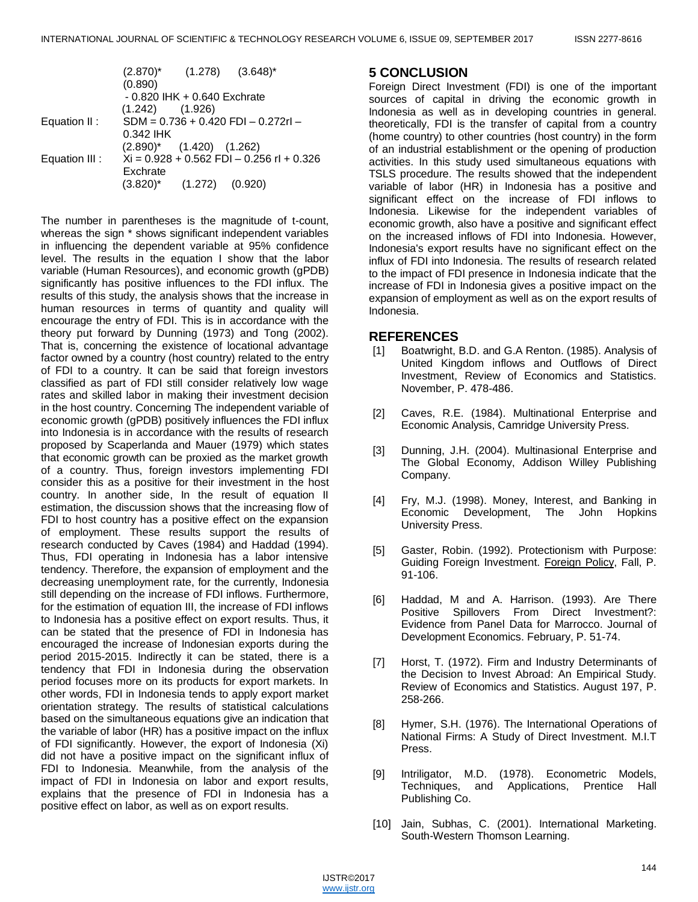|                |                                               |  | $(2.870)^*$ $(1.278)$ $(3.648)^*$ |  |
|----------------|-----------------------------------------------|--|-----------------------------------|--|
|                | (0.890)                                       |  |                                   |  |
|                | $-0.820$ IHK $+0.640$ Exchrate                |  |                                   |  |
|                | $(1.242)$ $(1.926)$                           |  |                                   |  |
| Equation II:   | $SDM = 0.736 + 0.420$ FDI - 0.272rl -         |  |                                   |  |
|                | 0.342 IHK                                     |  |                                   |  |
|                | $(2.890)^*$ $(1.420)$ $(1.262)$               |  |                                   |  |
| Equation III : | $Xi = 0.928 + 0.562$ FDI $- 0.256$ rI + 0.326 |  |                                   |  |
|                | Exchrate                                      |  |                                   |  |
|                | $(3.820)^*$ $(1.272)$ $(0.920)$               |  |                                   |  |

The number in parentheses is the magnitude of t-count, whereas the sign \* shows significant independent variables in influencing the dependent variable at 95% confidence level. The results in the equation I show that the labor variable (Human Resources), and economic growth (gPDB) significantly has positive influences to the FDI influx. The results of this study, the analysis shows that the increase in human resources in terms of quantity and quality will encourage the entry of FDI. This is in accordance with the theory put forward by Dunning (1973) and Tong (2002). That is, concerning the existence of locational advantage factor owned by a country (host country) related to the entry of FDI to a country. It can be said that foreign investors classified as part of FDI still consider relatively low wage rates and skilled labor in making their investment decision in the host country. Concerning The independent variable of economic growth (gPDB) positively influences the FDI influx into Indonesia is in accordance with the results of research proposed by Scaperlanda and Mauer (1979) which states that economic growth can be proxied as the market growth of a country. Thus, foreign investors implementing FDI consider this as a positive for their investment in the host country. In another side, In the result of equation II estimation, the discussion shows that the increasing flow of FDI to host country has a positive effect on the expansion of employment. These results support the results of research conducted by Caves (1984) and Haddad (1994). Thus, FDI operating in Indonesia has a labor intensive tendency. Therefore, the expansion of employment and the decreasing unemployment rate, for the currently, Indonesia still depending on the increase of FDI inflows. Furthermore, for the estimation of equation III, the increase of FDI inflows to Indonesia has a positive effect on export results. Thus, it can be stated that the presence of FDI in Indonesia has encouraged the increase of Indonesian exports during the period 2015-2015. Indirectly it can be stated, there is a tendency that FDI in Indonesia during the observation period focuses more on its products for export markets. In other words, FDI in Indonesia tends to apply export market orientation strategy. The results of statistical calculations based on the simultaneous equations give an indication that the variable of labor (HR) has a positive impact on the influx of FDI significantly. However, the export of Indonesia (Xi) did not have a positive impact on the significant influx of FDI to Indonesia. Meanwhile, from the analysis of the impact of FDI in Indonesia on labor and export results, explains that the presence of FDI in Indonesia has a positive effect on labor, as well as on export results.

### **5 CONCLUSION**

Foreign Direct Investment (FDI) is one of the important sources of capital in driving the economic growth in Indonesia as well as in developing countries in general. theoretically, FDI is the transfer of capital from a country (home country) to other countries (host country) in the form of an industrial establishment or the opening of production activities. In this study used simultaneous equations with TSLS procedure. The results showed that the independent variable of labor (HR) in Indonesia has a positive and significant effect on the increase of FDI inflows to Indonesia. Likewise for the independent variables of economic growth, also have a positive and significant effect on the increased inflows of FDI into Indonesia. However, Indonesia's export results have no significant effect on the influx of FDI into Indonesia. The results of research related to the impact of FDI presence in Indonesia indicate that the increase of FDI in Indonesia gives a positive impact on the expansion of employment as well as on the export results of Indonesia.

#### **REFERENCES**

- [1] Boatwright, B.D. and G.A Renton. (1985). Analysis of United Kingdom inflows and Outflows of Direct Investment, Review of Economics and Statistics. November, P. 478-486.
- [2] Caves, R.E. (1984). Multinational Enterprise and Economic Analysis, Camridge University Press.
- [3] Dunning, J.H. (2004). Multinasional Enterprise and The Global Economy, Addison Willey Publishing Company.
- [4] Fry, M.J. (1998). Money, Interest, and Banking in Economic Development, The John Hopkins University Press.
- [5] Gaster, Robin. (1992). Protectionism with Purpose: Guiding Foreign Investment. Foreign Policy, Fall, P. 91-106.
- [6] Haddad, M and A. Harrison. (1993). Are There Positive Spillovers From Direct Investment?: Evidence from Panel Data for Marrocco. Journal of Development Economics. February, P. 51-74.
- [7] Horst, T. (1972). Firm and Industry Determinants of the Decision to Invest Abroad: An Empirical Study. Review of Economics and Statistics. August 197, P. 258-266.
- [8] Hymer, S.H. (1976). The International Operations of National Firms: A Study of Direct Investment. M.I.T Press.
- [9] Intriligator, M.D. (1978). Econometric Models, Techniques, and Applications, Prentice Hall Publishing Co.
- [10] Jain, Subhas, C. (2001). International Marketing. South-Western Thomson Learning.